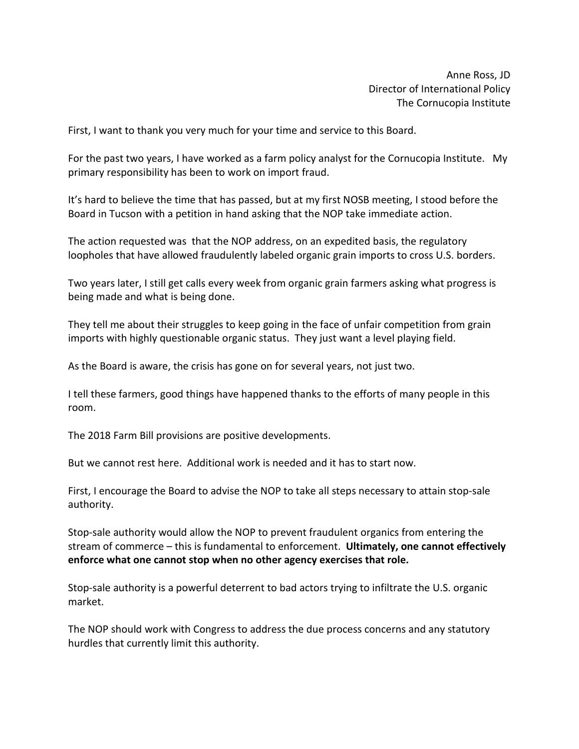Anne Ross, JD Director of International Policy The Cornucopia Institute

First, I want to thank you very much for your time and service to this Board.

For the past two years, I have worked as a farm policy analyst for the Cornucopia Institute. My primary responsibility has been to work on import fraud.

It's hard to believe the time that has passed, but at my first NOSB meeting, I stood before the Board in Tucson with a petition in hand asking that the NOP take immediate action.

The action requested was that the NOP address, on an expedited basis, the regulatory loopholes that have allowed fraudulently labeled organic grain imports to cross U.S. borders.

Two years later, I still get calls every week from organic grain farmers asking what progress is being made and what is being done.

They tell me about their struggles to keep going in the face of unfair competition from grain imports with highly questionable organic status. They just want a level playing field.

As the Board is aware, the crisis has gone on for several years, not just two.

I tell these farmers, good things have happened thanks to the efforts of many people in this room.

The 2018 Farm Bill provisions are positive developments.

But we cannot rest here. Additional work is needed and it has to start now.

First, I encourage the Board to advise the NOP to take all steps necessary to attain stop-sale authority.

Stop-sale authority would allow the NOP to prevent fraudulent organics from entering the stream of commerce – this is fundamental to enforcement. **Ultimately, one cannot effectively enforce what one cannot stop when no other agency exercises that role.** 

Stop-sale authority is a powerful deterrent to bad actors trying to infiltrate the U.S. organic market.

The NOP should work with Congress to address the due process concerns and any statutory hurdles that currently limit this authority.